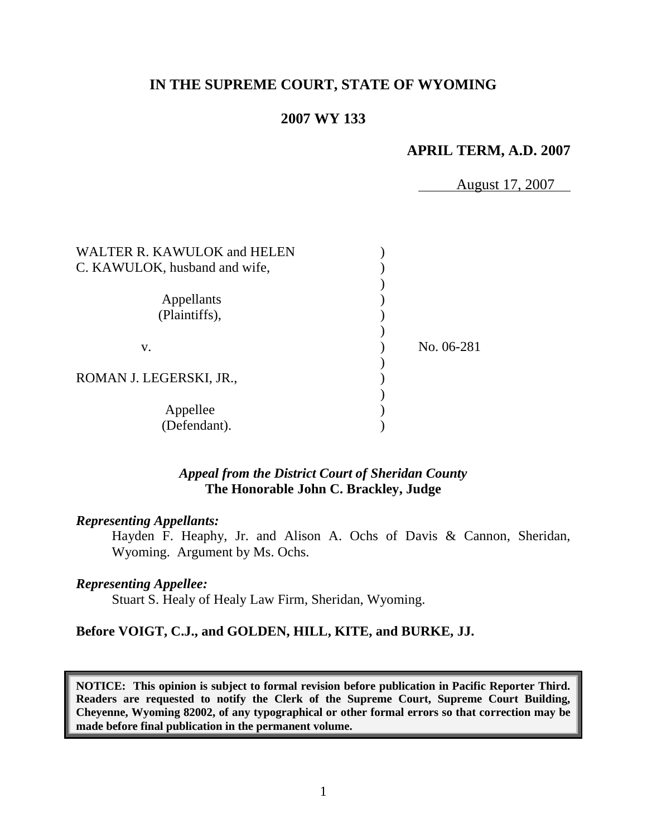# **IN THE SUPREME COURT, STATE OF WYOMING**

### **2007 WY 133**

# **APRIL TERM, A.D. 2007**

August 17, 2007

| No. 06-281 |
|------------|
|            |
|            |
|            |
|            |
|            |
|            |

### *Appeal from the District Court of Sheridan County* **The Honorable John C. Brackley, Judge**

### *Representing Appellants:*

Hayden F. Heaphy, Jr. and Alison A. Ochs of Davis & Cannon, Sheridan, Wyoming. Argument by Ms. Ochs.

### *Representing Appellee:*

Stuart S. Healy of Healy Law Firm, Sheridan, Wyoming.

### **Before VOIGT, C.J., and GOLDEN, HILL, KITE, and BURKE, JJ.**

**NOTICE: This opinion is subject to formal revision before publication in Pacific Reporter Third. Readers are requested to notify the Clerk of the Supreme Court, Supreme Court Building, Cheyenne, Wyoming 82002, of any typographical or other formal errors so that correction may be made before final publication in the permanent volume.**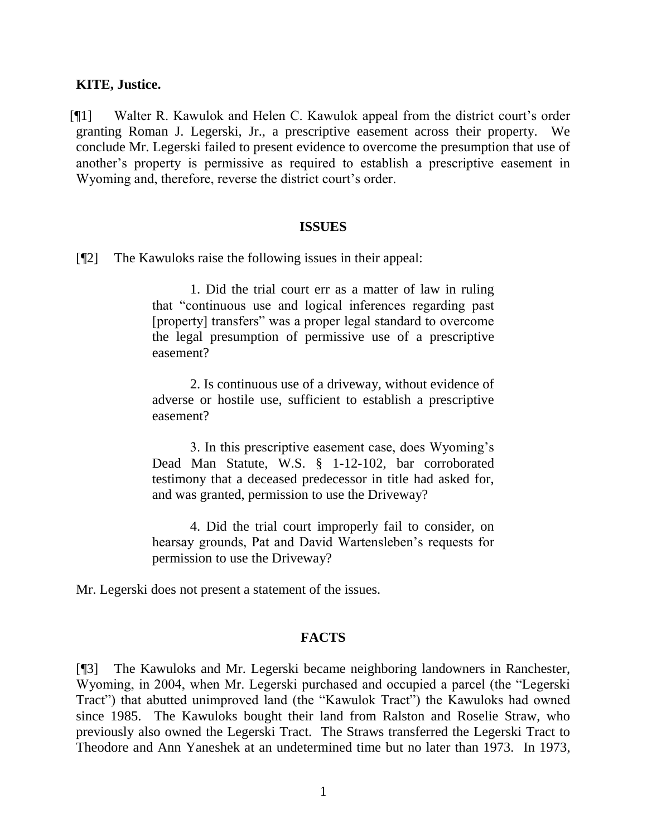### **KITE, Justice.**

[¶1] Walter R. Kawulok and Helen C. Kawulok appeal from the district court"s order granting Roman J. Legerski, Jr., a prescriptive easement across their property. We conclude Mr. Legerski failed to present evidence to overcome the presumption that use of another"s property is permissive as required to establish a prescriptive easement in Wyoming and, therefore, reverse the district court's order.

#### **ISSUES**

[¶2] The Kawuloks raise the following issues in their appeal:

1. Did the trial court err as a matter of law in ruling that "continuous use and logical inferences regarding past [property] transfers" was a proper legal standard to overcome the legal presumption of permissive use of a prescriptive easement?

2. Is continuous use of a driveway, without evidence of adverse or hostile use, sufficient to establish a prescriptive easement?

3. In this prescriptive easement case, does Wyoming"s Dead Man Statute, W.S. § 1-12-102, bar corroborated testimony that a deceased predecessor in title had asked for, and was granted, permission to use the Driveway?

4. Did the trial court improperly fail to consider, on hearsay grounds, Pat and David Wartensleben's requests for permission to use the Driveway?

Mr. Legerski does not present a statement of the issues.

#### **FACTS**

[¶3] The Kawuloks and Mr. Legerski became neighboring landowners in Ranchester, Wyoming, in 2004, when Mr. Legerski purchased and occupied a parcel (the "Legerski Tract") that abutted unimproved land (the "Kawulok Tract") the Kawuloks had owned since 1985. The Kawuloks bought their land from Ralston and Roselie Straw, who previously also owned the Legerski Tract. The Straws transferred the Legerski Tract to Theodore and Ann Yaneshek at an undetermined time but no later than 1973. In 1973,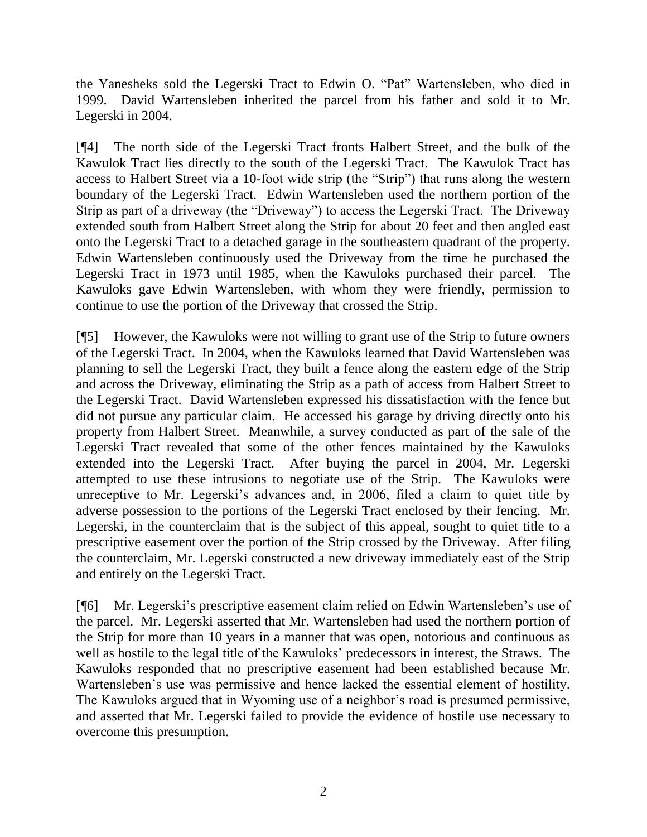the Yanesheks sold the Legerski Tract to Edwin O. "Pat" Wartensleben, who died in 1999. David Wartensleben inherited the parcel from his father and sold it to Mr. Legerski in 2004.

[¶4] The north side of the Legerski Tract fronts Halbert Street, and the bulk of the Kawulok Tract lies directly to the south of the Legerski Tract. The Kawulok Tract has access to Halbert Street via a 10-foot wide strip (the "Strip") that runs along the western boundary of the Legerski Tract. Edwin Wartensleben used the northern portion of the Strip as part of a driveway (the "Driveway") to access the Legerski Tract. The Driveway extended south from Halbert Street along the Strip for about 20 feet and then angled east onto the Legerski Tract to a detached garage in the southeastern quadrant of the property. Edwin Wartensleben continuously used the Driveway from the time he purchased the Legerski Tract in 1973 until 1985, when the Kawuloks purchased their parcel. The Kawuloks gave Edwin Wartensleben, with whom they were friendly, permission to continue to use the portion of the Driveway that crossed the Strip.

[¶5] However, the Kawuloks were not willing to grant use of the Strip to future owners of the Legerski Tract. In 2004, when the Kawuloks learned that David Wartensleben was planning to sell the Legerski Tract, they built a fence along the eastern edge of the Strip and across the Driveway, eliminating the Strip as a path of access from Halbert Street to the Legerski Tract. David Wartensleben expressed his dissatisfaction with the fence but did not pursue any particular claim. He accessed his garage by driving directly onto his property from Halbert Street. Meanwhile, a survey conducted as part of the sale of the Legerski Tract revealed that some of the other fences maintained by the Kawuloks extended into the Legerski Tract. After buying the parcel in 2004, Mr. Legerski attempted to use these intrusions to negotiate use of the Strip. The Kawuloks were unreceptive to Mr. Legerski's advances and, in 2006, filed a claim to quiet title by adverse possession to the portions of the Legerski Tract enclosed by their fencing. Mr. Legerski, in the counterclaim that is the subject of this appeal, sought to quiet title to a prescriptive easement over the portion of the Strip crossed by the Driveway. After filing the counterclaim, Mr. Legerski constructed a new driveway immediately east of the Strip and entirely on the Legerski Tract.

[¶6] Mr. Legerski"s prescriptive easement claim relied on Edwin Wartensleben"s use of the parcel. Mr. Legerski asserted that Mr. Wartensleben had used the northern portion of the Strip for more than 10 years in a manner that was open, notorious and continuous as well as hostile to the legal title of the Kawuloks" predecessors in interest, the Straws. The Kawuloks responded that no prescriptive easement had been established because Mr. Wartensleben's use was permissive and hence lacked the essential element of hostility. The Kawuloks argued that in Wyoming use of a neighbor"s road is presumed permissive, and asserted that Mr. Legerski failed to provide the evidence of hostile use necessary to overcome this presumption.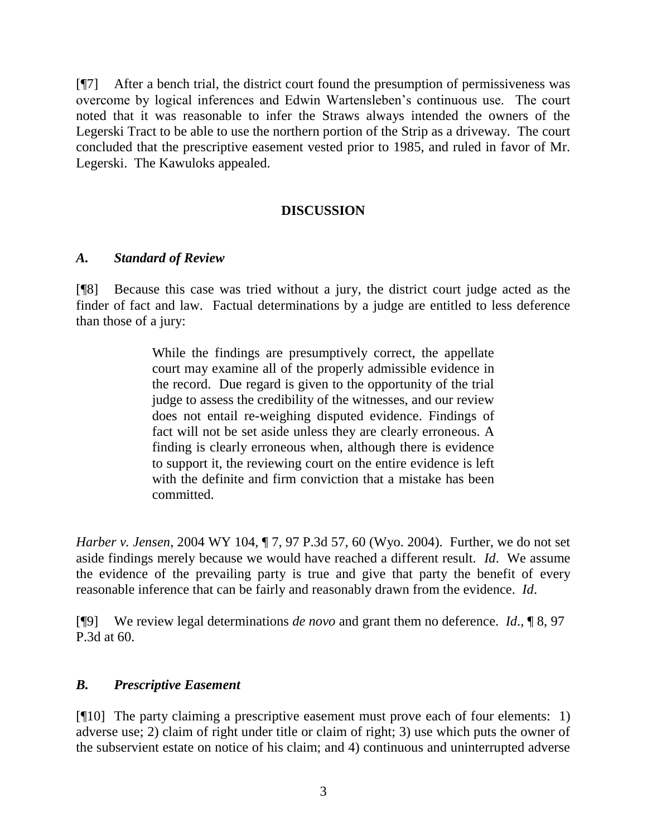[¶7] After a bench trial, the district court found the presumption of permissiveness was overcome by logical inferences and Edwin Wartensleben"s continuous use. The court noted that it was reasonable to infer the Straws always intended the owners of the Legerski Tract to be able to use the northern portion of the Strip as a driveway. The court concluded that the prescriptive easement vested prior to 1985, and ruled in favor of Mr. Legerski. The Kawuloks appealed.

# **DISCUSSION**

## *A. Standard of Review*

[¶8] Because this case was tried without a jury, the district court judge acted as the finder of fact and law. Factual determinations by a judge are entitled to less deference than those of a jury:

> While the findings are presumptively correct, the appellate court may examine all of the properly admissible evidence in the record. Due regard is given to the opportunity of the trial judge to assess the credibility of the witnesses, and our review does not entail re-weighing disputed evidence. Findings of fact will not be set aside unless they are clearly erroneous. A finding is clearly erroneous when, although there is evidence to support it, the reviewing court on the entire evidence is left with the definite and firm conviction that a mistake has been committed.

*Harber v. Jensen*, 2004 WY 104, ¶ 7, 97 P.3d 57, 60 (Wyo. 2004). Further, we do not set aside findings merely because we would have reached a different result. *Id*. We assume the evidence of the prevailing party is true and give that party the benefit of every reasonable inference that can be fairly and reasonably drawn from the evidence. *Id*.

[¶9] We review legal determinations *de novo* and grant them no deference. *Id*., ¶ 8, 97 P.3d at 60.

## *B. Prescriptive Easement*

[¶10] The party claiming a prescriptive easement must prove each of four elements: 1) adverse use; 2) claim of right under title or claim of right; 3) use which puts the owner of the subservient estate on notice of his claim; and 4) continuous and uninterrupted adverse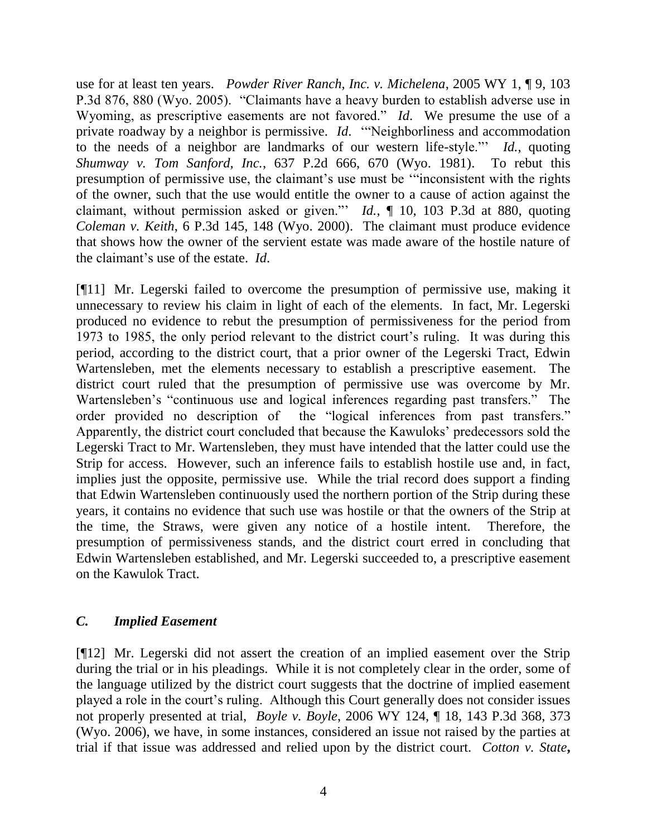use for at least ten years. *Powder River Ranch, Inc. v. Michelena*, 2005 WY 1, ¶ 9, 103 P.3d 876, 880 (Wyo. 2005). "Claimants have a heavy burden to establish adverse use in Wyoming, as prescriptive easements are not favored." *Id*. We presume the use of a private roadway by a neighbor is permissive. *Id*. ""Neighborliness and accommodation to the needs of a neighbor are landmarks of our western life-style."" *Id.*, quoting *[Shumway v. Tom Sanford, Inc.](http://www.westlaw.com/Find/Default.wl?rs=dfa1.0&vr=2.0&DB=661&FindType=Y&ReferencePositionType=S&SerialNum=1981152094&ReferencePosition=670)*, [637 P.2d 666, 670 \(Wyo. 1981\).](http://www.westlaw.com/Find/Default.wl?rs=dfa1.0&vr=2.0&DB=661&FindType=Y&ReferencePositionType=S&SerialNum=1981152094&ReferencePosition=670) To rebut this presumption of permissive use, the claimant's use must be "inconsistent with the rights of the owner, such that the use would entitle the owner to a cause of action against the claimant, without permission asked or given."" *Id.*, ¶ 10, 103 P.3d at 880, quoting *[Coleman v. Keith](http://www.westlaw.com/Find/Default.wl?rs=dfa1.0&vr=2.0&DB=4645&FindType=Y&ReferencePositionType=S&SerialNum=2000354911&ReferencePosition=147)*, [6 P.3d 145, 148 \(Wyo. 2000\).](http://www.westlaw.com/Find/Default.wl?rs=dfa1.0&vr=2.0&DB=4645&FindType=Y&ReferencePositionType=S&SerialNum=2000354911&ReferencePosition=147) The claimant must produce evidence that shows how the owner of the servient estate was made aware of the hostile nature of the claimant"s use of the estate. *Id*.

[¶11] Mr. Legerski failed to overcome the presumption of permissive use, making it unnecessary to review his claim in light of each of the elements. In fact, Mr. Legerski produced no evidence to rebut the presumption of permissiveness for the period from 1973 to 1985, the only period relevant to the district court"s ruling. It was during this period, according to the district court, that a prior owner of the Legerski Tract, Edwin Wartensleben, met the elements necessary to establish a prescriptive easement. The district court ruled that the presumption of permissive use was overcome by Mr. Wartensleben's "continuous use and logical inferences regarding past transfers." The order provided no description of the "logical inferences from past transfers." Apparently, the district court concluded that because the Kawuloks" predecessors sold the Legerski Tract to Mr. Wartensleben, they must have intended that the latter could use the Strip for access. However, such an inference fails to establish hostile use and, in fact, implies just the opposite, permissive use. While the trial record does support a finding that Edwin Wartensleben continuously used the northern portion of the Strip during these years, it contains no evidence that such use was hostile or that the owners of the Strip at the time, the Straws, were given any notice of a hostile intent. Therefore, the presumption of permissiveness stands, and the district court erred in concluding that Edwin Wartensleben established, and Mr. Legerski succeeded to, a prescriptive easement on the Kawulok Tract.

## *C. Implied Easement*

[¶12] Mr. Legerski did not assert the creation of an implied easement over the Strip during the trial or in his pleadings. While it is not completely clear in the order, some of the language utilized by the district court suggests that the doctrine of implied easement played a role in the court"s ruling. Although this Court generally does not consider issues not properly presented at trial, *Boyle v. Boyle*, 2006 WY 124, ¶ 18, 143 P.3d 368, 373 (Wyo. 2006), we have, in some instances, considered an issue not raised by the parties at trial if that issue was addressed and relied upon by the district court. *Cotton v. State***,**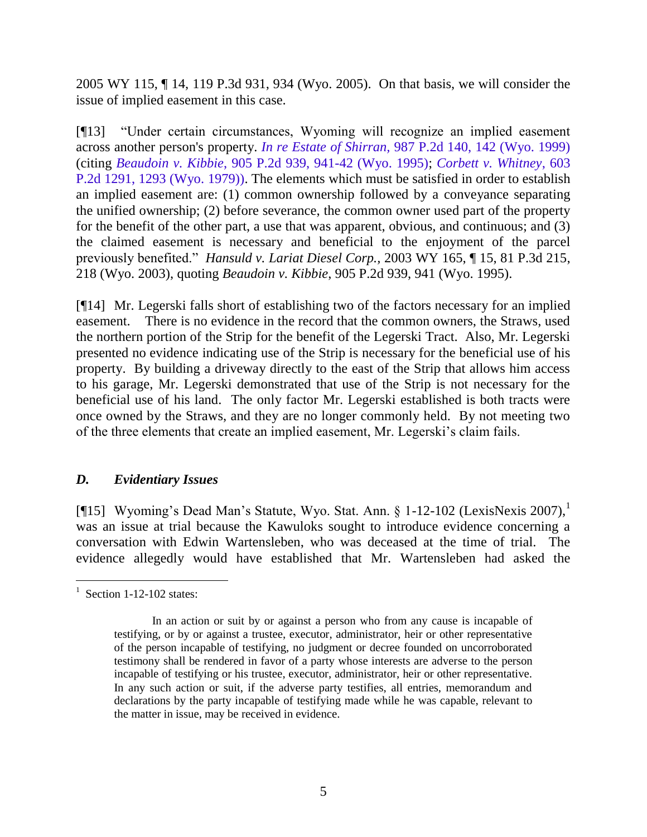2005 WY 115, ¶ 14, 119 P.3d 931, 934 (Wyo. 2005). On that basis, we will consider the issue of implied easement in this case.

[¶13] "Under certain circumstances, Wyoming will recognize an implied easement across another person's property. *In re Estate of Shirran,* [987 P.2d 140, 142 \(Wyo. 1999\)](http://www.lexis.com/research/buttonTFLink?_m=080a31e42c183fc5fab1224d6366983d&_xfercite=%3ccite%20cc%3d%22USA%22%3e%3c%21%5bCDATA%5b2003%20WY%20165%5d%5d%3e%3c%2fcite%3e&_butType=3&_butStat=2&_butNum=13&_butInline=1&_butinfo=%3ccite%20cc%3d%22USA%22%3e%3c%21%5bCDATA%5b987%20P.2d%20140%2c%20142%5d%5d%3e%3c%2fcite%3e&_fmtstr=FULL&docnum=1&_startdoc=1&wchp=dGLbVzz-zSkAz&_md5=9f3f55a7adc8bb54f74a2eb238821f36) (citing *Beaudoin v. Kibbie*[, 905 P.2d 939, 941-42 \(Wyo. 1995\);](http://www.lexis.com/research/buttonTFLink?_m=080a31e42c183fc5fab1224d6366983d&_xfercite=%3ccite%20cc%3d%22USA%22%3e%3c%21%5bCDATA%5b2003%20WY%20165%5d%5d%3e%3c%2fcite%3e&_butType=3&_butStat=2&_butNum=14&_butInline=1&_butinfo=%3ccite%20cc%3d%22USA%22%3e%3c%21%5bCDATA%5b905%20P.2d%20939%2c%20941%5d%5d%3e%3c%2fcite%3e&_fmtstr=FULL&docnum=1&_startdoc=1&wchp=dGLbVzz-zSkAz&_md5=5b6e453840ae8347dfa9bf33ec0049c3) *[Corbett v. Whitney](http://www.lexis.com/research/buttonTFLink?_m=080a31e42c183fc5fab1224d6366983d&_xfercite=%3ccite%20cc%3d%22USA%22%3e%3c%21%5bCDATA%5b2003%20WY%20165%5d%5d%3e%3c%2fcite%3e&_butType=3&_butStat=2&_butNum=15&_butInline=1&_butinfo=%3ccite%20cc%3d%22USA%22%3e%3c%21%5bCDATA%5b603%20P.2d%201291%2c%201293%5d%5d%3e%3c%2fcite%3e&_fmtstr=FULL&docnum=1&_startdoc=1&wchp=dGLbVzz-zSkAz&_md5=4bbda2c0d56dba47d96b8a44f1b0d5d8)*, 603 [P.2d 1291, 1293 \(Wyo. 1979\)\).](http://www.lexis.com/research/buttonTFLink?_m=080a31e42c183fc5fab1224d6366983d&_xfercite=%3ccite%20cc%3d%22USA%22%3e%3c%21%5bCDATA%5b2003%20WY%20165%5d%5d%3e%3c%2fcite%3e&_butType=3&_butStat=2&_butNum=15&_butInline=1&_butinfo=%3ccite%20cc%3d%22USA%22%3e%3c%21%5bCDATA%5b603%20P.2d%201291%2c%201293%5d%5d%3e%3c%2fcite%3e&_fmtstr=FULL&docnum=1&_startdoc=1&wchp=dGLbVzz-zSkAz&_md5=4bbda2c0d56dba47d96b8a44f1b0d5d8) The elements which must be satisfied in order to establish an implied easement are: (1) common ownership followed by a conveyance separating the unified ownership; (2) before severance, the common owner used part of the property for the benefit of the other part, a use that was apparent, obvious, and continuous; and (3) the claimed easement is necessary and beneficial to the enjoyment of the parcel previously benefited." *Hansuld v. Lariat Diesel Corp.,* 2003 WY 165, ¶ 15, 81 P.3d 215, 218 (Wyo. 2003), quoting *Beaudoin v. Kibbie*, 905 P.2d 939, 941 (Wyo. 1995).

[¶14] Mr. Legerski falls short of establishing two of the factors necessary for an implied easement. There is no evidence in the record that the common owners, the Straws, used the northern portion of the Strip for the benefit of the Legerski Tract. Also, Mr. Legerski presented no evidence indicating use of the Strip is necessary for the beneficial use of his property. By building a driveway directly to the east of the Strip that allows him access to his garage, Mr. Legerski demonstrated that use of the Strip is not necessary for the beneficial use of his land. The only factor Mr. Legerski established is both tracts were once owned by the Straws, and they are no longer commonly held. By not meeting two of the three elements that create an implied easement, Mr. Legerski"s claim fails.

## *D. Evidentiary Issues*

[ $[15]$  Wyoming's Dead Man's Statute, Wyo. Stat. Ann. § 1-12-102 (LexisNexis 2007),<sup>1</sup> was an issue at trial because the Kawuloks sought to introduce evidence concerning a conversation with Edwin Wartensleben, who was deceased at the time of trial. The evidence allegedly would have established that Mr. Wartensleben had asked the

 $\overline{a}$ 

 $1$  Section 1-12-102 states:

In an action or suit by or against a person who from any cause is incapable of testifying, or by or against a trustee, executor, administrator, heir or other representative of the person incapable of testifying, no judgment or decree founded on uncorroborated testimony shall be rendered in favor of a party whose interests are adverse to the person incapable of testifying or his trustee, executor, administrator, heir or other representative. In any such action or suit, if the adverse party testifies, all entries, memorandum and declarations by the party incapable of testifying made while he was capable, relevant to the matter in issue, may be received in evidence.